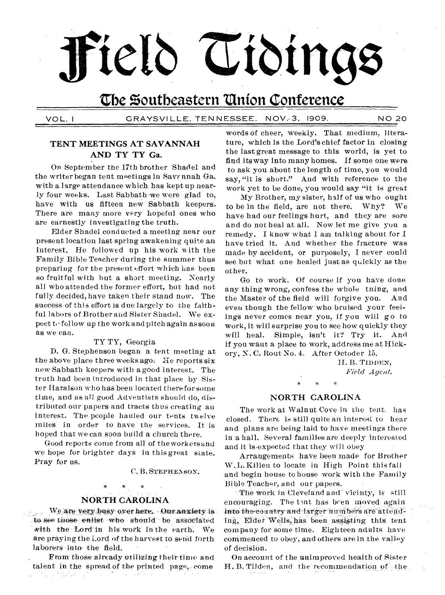# The Southeastern Union Conference

Field Tidings

VOL. I

GRAYSVILLE, TENNESSEE, NOV.3, 1909. **NO 20** 

### TENT MEETINGS AT SAVANNAH AND TY TY Ga.

On September the 17th brother Shadel and the writer began tent meetings in Savannah Ga. with a large attendance which has kept up nearly four weeks. Last Sabbath we were glad to, have with us fifteen new Sabbath keepers. There are many more very hopeful ones who are earnestly investigating the truth.

Elder Shadel conducted a meeting near our present location last spring awakening quite an interest. He followed up his work with the Family Bible Teacher during the summer thus preparing for the present effort which has been so fruitful with but a short meeting. Nearly all who attended the former effort, but had not fully decided, have taken their stand now. The success of this effort is due largely to the faithful labors of Brother and Sister Shadel. We expect to follow up the work and pitch again as soon as we can.

#### TY TY, Georgia

D. G. Stephenson began a tent meeting at the above place three weeks ago. He reports six new Sabbath keepers with a good interest. The truth had been introduced in that place by Sister Haralson who has been located therefor some time, and as all good Adventists should do, distributed our papers and tracts thus creating an interest. The people hauled our tents twelve miles in order to have the services. It is hoped that we can soon build a church there.

Good reports come from all of the workers and we hope for brighter days in this great state. Pray for us.

C. B. STEPHENSON.

#### **NORTH CAROLINA**

We are very busy over here. Our anxiety is 28. av. 20 to see those enlist who should be associated with the Lord in his work in the earth. We are praying the Lord of the harvest to send forth laborers into the field.

From those already utilizing their time and talent in the spread of the printed page, come **Contractor** 

words of cheer, weekly. That medium, literature, which is the Lord's chief factor in closing the last great message to this world, is yet to find its way into many homes. If some one were to ask you about the length of time, you would say, "it is short." And with reference to the work yet to be done, you would say "it is great

My Brother, my sister, half of us who ought to be in the field, are not there. Why? We have had our feelings hurt, and they are sore and do not heal at all. Now let me give you a remedy. I know what I am talking about for I have tried it. And whether the fracture was made by accident, or purposely, I never could see but what one healed just as quickly as the other.

Go to work. Of course if you have doue any thing wrong, confess the whole thing, and the Master of the field will forgive you. And even though the fellow who bruised your feelings never comes near you, if you will go to work, it will surprise you to see how quickly they will heal. Simple, isn't it? Try it. And if you want a place to work, address me at Hickory, N.C. Rout No. 4. After Octoder 15.

> H.B. TIDDEN, Field Agent.

#### NORTH CAROLINA

The work at Walnut Cove in the tent. has closed. There is still quite an interest to hear and plans are being laid to have meetings there in a hall. Several families are deeply interested and it is expected that they will obey

Arrangements have been made for Brother W.L. Killen to locate in High Point this fall and begin house to house work with the Family Bible Teacher, and our papers.

The work in Cleveland and vicinty, is still encouraging. The tant has been moved again into the country and larger numbers are attending, Elder Wells, has been assisting this tent company for some time. Eighteen adults have commenced to obey, and others are in the valley of decision.

On account of the unimproved health of Sister H. B. Tilden, and the recommendation of the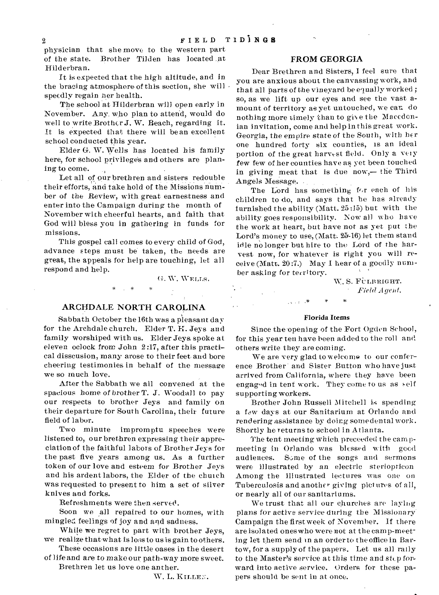physician that she move to the western part of the state. Brother Tilden has located ,at Hilderbran.

It is expected that the high altitude, and in the bracing atmosphere of this section, she will speedly regain her health.

The school at Hilderbran will open early in November. Any. who plan to attend, would do well to write Brother J. W. Beach, regarding it. It is expected that there will bean excellent school conducted this year.

Elder G. W. Wells has located his family here, for school privileges and others are planing to come.

Let all of our brethren and sisters redouble their efforts, and take hold of the Missions number of the Review, with great earnestness and enter into the Campaign during the month of November with cheerful hearts, and faith that God will bless you in gathering in funds for missions.

This gospel call comes to every child of God, advance steps must be taken, the needs are great, the appeals for help are touching, let all respond and help.

G. W. WELLS.

#### ARCHDALE NORTH CAROLINA

Sabbath October the 16th was a pleasant day for the Archdale church. Elder T. H. Jeys and family worshiped with us. Elder Jeys spoke at eleven oclock from John 2:17, after this practical dissension, many arose to their feet-and bore cheering testimonies in behalf of the message we so much love.

After the Sabbath we all convened at the spacious home of brother T. J. Woodall to pay our respects to brother Jeys and family on their departure for South Carolina, their future field of labor.

Two minute impromptu speeches were listened to, our brethren expressing their appreciation of the faithful labors of Brother Jeys for the past five years among us. As a further token of our love and esteem for Brother Jeys and his ardent labors, the Elder of the church was requested to present to him a set of silver knives and forks.

Refreshments were then served.

Soon we all repaired to our *homes,* with mingled feelings of joy and and sadness.

While we regret to part with brother Jeys, we realize thatwhat is loss to us is gain to others.

These occasions are little oases in the desert of life and are to make our path-way more sweet.

Brethren let us love one anther.

W. L. KILLEN.

#### FROM GEORGIA

Dear Brethren and Sisters, I feel sure that you are anxious about the canvassing work, and that all parts of the vineyard be equally worked; so, as we lift up our eyes and see the vast amount of territory as yet untouched, we can do nothing more timely than to give the Macedonian invitation, come and help in this great work. Georgia, the empire state of the South, with her one hundred forty six counties, is an ideal portion of the great harvest field. Only a very few few of her counties have as yet been touched in giving meat that is due now,— the Third Angels Message.

The Lord has something for each of his children to do, and says that he has already furnished the ability (Matt. 25:15) but with the ability goes responsibility. Now all who have the work at heart, but have not as yet put the Lord's money to use, (Matt.  $25-16$ ) let them stand idle no longer but hire to the LOrd of the harvest now, for whatever is right you will receive (Matt. 20:7.) May 1 hear of a goodly number asking for territory.

> W. S. FULBRIGHT.  $Field$ *Agent.*

#### Florida Items

Since the opening of the Fort Ogden School, for this year ten have been added to the roil and others write they are coming.

We are very glad to welcome to our conference Brother • and Sister Button who have just arrived from California, where they have been engaged in tent work. They come to us as self supporting workers.

Brother John Russell Mitchell is spending a few days at our Sanitarium at Orlando and rendering assistance by doing somedental work. Shortly he returns to school in Atlanta.

The tent meeting which preceeded the campmeeting in Orlando was blessed with good audiences. Some of the songs and sermons were illustrated by an electric steriopticon Among the illustrated lectures was one on Tuberculosis and another giving pictures of all, or nearly all of our sanitariums.

We trust that all our churches are laying plans for active service during the Missionary Campaign the first week of November. If there are isolated ones who were not at the cam p-meeting let them send in an order to the office in Bartow, for a supply of the papers. Let us all rally to the Master's service at this time and step forward into active service. Orders for these papers should be sent in at once.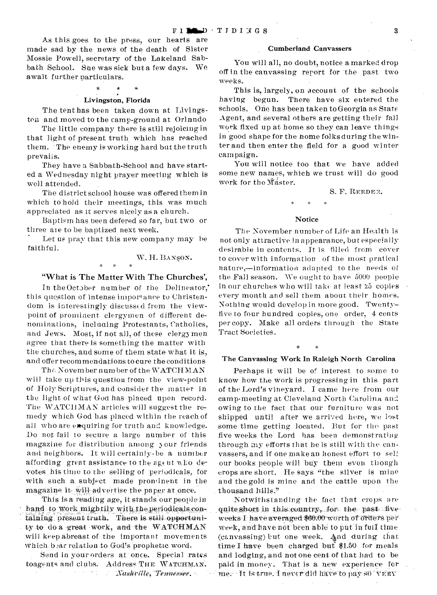As this goes to the press, our hearts are made sad by the news of the death of Sister Mossie Powell, secretary of the Lakeland Sabbath School. Sae was sick but a few days. We await further particulars.

#### Livingston, Florida

The tent has been taken down at Livingston and moved to the camp-ground at Orinndo

The little company there is still rejoicing in that light of present truth which has reached them. - The enemy is working hard but the truth prevaiis.

They have a Sabbath-School and have started a Wednesday night prayer meeting which is well attended.

The district school house was offered them in which to hold their meetings, this was much appreciated as it serves nicely as a church.

Baptism has been defered so far, but two or three ate to be baptized next week.

Let us pray that this new company may be faithful.

#### W. H. BANSON.

#### "What is The Matter With The Churches',

In the October number of the Delineator, this question of intense importance to Christendom is interestingly discussed from the viewpoint of prominent clergymen of different denominations, including Protestants, Catholics, and Jews. Most, if not all, of these clergymen agree that there is something the matter with the churches, and some of them state what it is, and offer recommendations to cure the conditions

The November number of the WATCHMAN will take up this question from the view-point of Holy Scriptures, and consider the matter in the light of what God has placed upon record. The WATCHMAN articles will suggest the remedy which God has placed within the reach of all who are exquiring for truth and knowledge. Do not fail to secure a large number of this magazine for distribution among y our friends and neighbors. It will certainly • be a number affording great assistance to the agent who devotes' his time to the selling of periodicals, for with such a. subject made prominent in the magazine it-will-advertise the paper at once.

This is a reading age, it stands our people in hand to work mightily with the periodicals containing present truth. There is still opportunity to do a great work, and the WATCHMAN will keep abreast of the important movements which bear relation to God's prophetic word.

Send in your orders at once. Special rates toagents and clubs. Address THE WATCHMAN.  $\sim$   $\sim$  $\mathcal{L}$ *Xim44Nr114 -TeinmimAiw. -* 

#### Cumberland Canvassers

You will all, no doubt, notice a marked drop off in the canvassing report for 'the past two weeks.

This is, largely, on account of the schools having begun. There have six entered the schools. One has been taken to Georgia as State Agent, and several others are getting their fall work fixed up at home so they can leave things in good shape for the home folks during the winter and then enter the field for a good winter cam paign.

You will notice too that we have added some new names, which we trust will do good work for the Master.

#### S. F. REEDER.

#### **Notice**

The November number of Life an Health is not only attractive in appearance, but especially desirable in contents. It is filled from cover to cover with information of the most pratical nature,—information adapted to the needs of the Fall season. We ought to have 5000 people in our churches who will take at least '25 copies every month and sell them about their homes. Nothing would develop in more good. Twentyfive to four hundred copies, one order, 4 cents per copy. Make all orders through the State Tract Societies.

#### The Canvassing Work In Raleigh North Carolina

Perhaps it will be of interest to some to know how the work is progressing in this part of the Lord's vineyard. I came here from our camp-meeting at Cleveland North Carolina and owing to the fact that our furniture was not shipped until after we arrived here, we lost some time getting located. But for the past five weeks the Lord has been demonstrating through my efforts that he is still with the canvassers, and if one make an honest effort to sell our books people will buy them even though crops are short. He says "the silver is mine and the gold is mine and the cattle upon the thousand-hills."

:Notwithstanding the fact that crops are quite short in this country, for the past three weeks I-have averaged \$60.00 worth of orders per week, and have not been able to put in full time (canvassing) but one week. 4nd during that time I have been charged but  $$1.50$  for meals and lodging, and not-one cent of that had to be paid In money. That is a new experience for mer It is true. I never did have to pay 80 VERY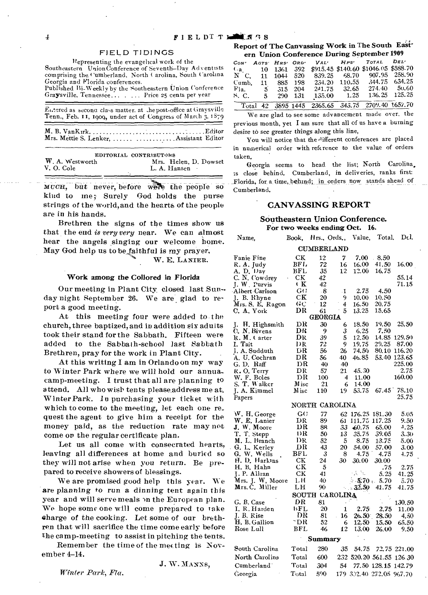#### **FIELD TIDINGS**

Representing the evangelical work of the

Southeastern Union Conference of Seventh-Day Adventists comprising the Cumberland, North Carolina, South Carolina Georgia and Florida conferences. Published Bi-Weekly by the Southeastern Union Conference

Graysville, Tennessee... . . . . . Price 25 cents per year

| Entered as second class matter, at the post-office at Graysville<br>Tenn., Feb. 11, 1909, under act of Congress of March 3, 1879 |                                           |  |  |  |  |
|----------------------------------------------------------------------------------------------------------------------------------|-------------------------------------------|--|--|--|--|
|                                                                                                                                  | Mrs. Mettie S. Lenker,   Assistant Editor |  |  |  |  |

|                 | EDITORIAL CONTRIBUTORS |
|-----------------|------------------------|
| W. A. Westworth | Mrs. Helen. D. Dowset  |
| V. O. Cole      | L. A. Hansen           |
|                 |                        |

MUCH, but never before were the people so kind to me; Surely God holds the purse strings of the world, and the hearts of the people are in his hands.

Brethren the signs of the times show us that the end is very very near. We can almost hear the angels singing our welcome home. May God help us to be faithful is my prayer.

W. E. LANIER.

#### Work among the Collored in Florida

Our meeting in Plant City closed last Sunday night September 26. We are glad to report a good meeting.

At this meeting four were added to the church, three baptized, and in addition six aduits took their stand for the Sabbath. Fifteen were added to the Sabbath-school last Sabbath Brethren, pray for the work in Plant City.

At this writing I am in Orlando on my way to Winter Park where we will hold our annuacamp-meeting. I trust that all are planning to attend. All who wish tents please address me at. Winter Park. In purchasing your ticket with which to come to the meeting, let each one request the agent to give him a receipt for the money paid, as the reduction rate may not come or the regular certificate plan.

Let us all come with consecrated hearts, leaving all differences at home and buried so they will not arise when you return. Be prepared to receive showers of blessings.

We are promised good help this year. We are planning to run a dinning tent again this year and will serve meals on the European plan. We hope some one will come prepared to take charge of the cooking. Let some of our brethren that will sacrifice the time come early before the camp-meeting to assist in pitching the tents.

Remember the time of the meeting is November 4-14.

J. W. MANNS.

Winter Park, Fla.

#### Report of The Canvassing Work in The South Eastern Linion Conference During September 1909

| CON' AGTS HRS' ORD' |     |            |         |        |              | VAL' HPS' TOTAL DEL'                                                                                                                                 |               |
|---------------------|-----|------------|---------|--------|--------------|------------------------------------------------------------------------------------------------------------------------------------------------------|---------------|
| $4a$ 10 1361 392    |     |            |         |        |              | \$915.45 \$140.60 \$1046.05 \$588.70                                                                                                                 |               |
| N C, 11 1044 520    |     |            |         |        |              | 839.25 68.70 907.95 258.90                                                                                                                           |               |
| Cumb.               |     | 11 885 198 |         |        |              | 234.20 110.55 344.75 634.25                                                                                                                          |               |
| F1a. 5 315 204      |     |            |         |        | 241.75 32.65 |                                                                                                                                                      | 274.40 50.60  |
| S. C.               | - 5 |            | 290 131 | 135.00 | 1.25         |                                                                                                                                                      | 136.25 125.25 |
|                     |     |            |         |        |              | Total $\overline{42}$ $\overline{3895}$ $\overline{1445}$ $\overline{2365}$ , 65 $\overline{343}$ , 75 $\overline{2709}$ , 40 $\overline{1657}$ , 70 |               |

We are glad to see some advancement made over, the previous month, yet I am sure that all of us have a burning desire to see greater things along this line,

You will notice that the different conferences are placed in numerical order with reference to the value of orders taken.

Georgia seems to head the list; North Carolina. is close behind. Cumberland, in deliveries, ranks first: Florida, for a time, behind; in orders now stands ahead of Cumberland.

#### **CANVASSING REPORT**

#### Southeastern Union Conference. For two weeks ending Oct. 16.

| Name,                         | Book,                         | Hrs., Ords.,   |                | Value,                   | Total,         | Del.                     |  |  |  |
|-------------------------------|-------------------------------|----------------|----------------|--------------------------|----------------|--------------------------|--|--|--|
| <b>CUMBERLAND</b>             |                               |                |                |                          |                |                          |  |  |  |
| Fanie Fine                    | CK                            | 12             | $\overline{7}$ | 7.00                     | 8.50           |                          |  |  |  |
| R.A. Judy                     | BF L                          | 72             | 16             | 16.00                    | 41.50          | 16.00                    |  |  |  |
| A. D. Day                     | BFL                           | 35             | 12             | 12.00                    | 16,75          |                          |  |  |  |
|                               | CК                            | 42             |                |                          |                | 55.14                    |  |  |  |
| C. N. Cowdrey<br>J. W. Purvis | ŧΚ                            | 42             |                |                          |                | 71.15                    |  |  |  |
| Albert Carlson                | $G\Omega$                     | $-8$           | -1             | 2.75                     | 4.50           |                          |  |  |  |
| J. B. Rhyne                   | CК                            | 20             | 9              | 10.00                    | 10.50          |                          |  |  |  |
| Mrs. S. E. Ragon              | GC                            | 12             | 4              | 16.50                    | 20.75          |                          |  |  |  |
| C. A. York                    | DR                            | 61             | 5              | 13.25                    | 15.65          |                          |  |  |  |
|                               | <b>GEORGIA</b>                |                |                |                          |                |                          |  |  |  |
| J. H. Highsmith               | DК                            | 30             | 6              | 18.50                    | 19.50          | 25.50                    |  |  |  |
| C. N. Bivens                  | DR                            | 9              | 3              | 6.25                     | 7.50           |                          |  |  |  |
| R. M. Carter                  | DR                            | 39             | 5              | 12.50                    | 14.85          | 129.50                   |  |  |  |
| I. Tait                       | DR                            | 72             | 9              | 19.75                    | 29.25          | 87.00                    |  |  |  |
| J. A. Sudduth                 | DК                            | 56             | 26             | 74.50                    | 80.10          | 116.20                   |  |  |  |
| A. U. Cochran                 | DR                            | 56             | 40             | 46.85                    |                | 53.40 123.65             |  |  |  |
| G. D. Raff                    | DR                            | 40             | 40             |                          |                | 225.00                   |  |  |  |
| R.O. Terry                    | DR                            | 57             | 21             | 45.30                    |                | 2.75                     |  |  |  |
| W. F. Boles                   | DR                            | 100            | 4              | 11.00                    |                | 160.00                   |  |  |  |
| S. T. Walker                  | M isc                         | 21             | 6              | 14.00                    |                |                          |  |  |  |
| J. A. Kimmel                  | $_{\mathrm{M}\,\mathrm{isc}}$ | 110            | 19.            | 53.75                    |                | 67.45 78.10              |  |  |  |
| Papers                        |                               |                |                |                          |                | 25.75                    |  |  |  |
|                               |                               | NORTH CAROLINA |                |                          |                |                          |  |  |  |
| W. H. George                  | G()                           | 77             |                | 62 176.25 181.30         |                | 5.05                     |  |  |  |
| W. E. Lanier<br>J. W. Moore   | DR                            | 89             | 61             |                          | 111.75 117.25  | 9.50                     |  |  |  |
|                               | DR                            | 88             | 33             | $-60.75$                 | 65.00          | 4,25                     |  |  |  |
| T. T. Stepp                   | DR.                           | 50             | 13             | 35.75                    | 39.05          | 3.30                     |  |  |  |
| M. L. Branch                  | DR                            | 52             | -5             | 8.75                     | 13.75          | 5.00                     |  |  |  |
| G. L. Kerley                  | DR                            | 43             | 20 -           | 54.00                    | 57.00          | 3.00                     |  |  |  |
| G. W. Wells                   | BFL                           | 3              | 8              | 4.75                     | 4.75           | 4.75                     |  |  |  |
| H. D. Harkins                 | <b>CK</b>                     | 24.            | 30.            | 30.00                    | 30.00          |                          |  |  |  |
| H. B. Hahn                    | СK                            | 5              |                |                          | .75            | 2.75                     |  |  |  |
| J. P. Allran                  | CК                            | 41             |                | 93. No                   | 5.25           | 41.25                    |  |  |  |
| Mrs. J. W, Moore              | LH.                           | 40             |                |                          | $-5.70 - 5.70$ | 5.70                     |  |  |  |
| Mrs. C. Miller                | LН                            | 90             |                | 32.50                    | 41.75          | 41.75                    |  |  |  |
| SOUTH CAROLINA                |                               |                |                |                          |                |                          |  |  |  |
| G. B. Case                    | DR                            | 81             |                |                          |                | 130.50                   |  |  |  |
| I. R. Harden                  | 15 F L                        | 20             | 1              | 2.75                     | 2.75           | 11.00                    |  |  |  |
| I. B. Rise                    | DR                            | 81             | 16             | $26.50^{\circ}$          | 28.50          | 4.50                     |  |  |  |
| H. B. Gallion                 | -DR                           | 52             | 6              | 12.50                    | 15.50          | 65.50                    |  |  |  |
| Rose Lull                     | BFL                           | 46             | 12             | 13.00                    | 26.00          | 9,50                     |  |  |  |
| Summary                       |                               |                |                |                          |                |                          |  |  |  |
| South Carolina                | Total                         | 280            | 35             | 54.75                    |                | 72.75 221,00             |  |  |  |
| North Carolina                | Total                         | 600            |                |                          |                | 232 520.20 561.55 126.30 |  |  |  |
| Cumberland                    | Total                         |                |                |                          |                | 77.50 128.15 142.79      |  |  |  |
|                               |                               | 304<br>590.    | 54             | 179 302.40 272.05 967.70 |                |                          |  |  |  |
| Georgia                       | Total                         |                |                |                          |                |                          |  |  |  |